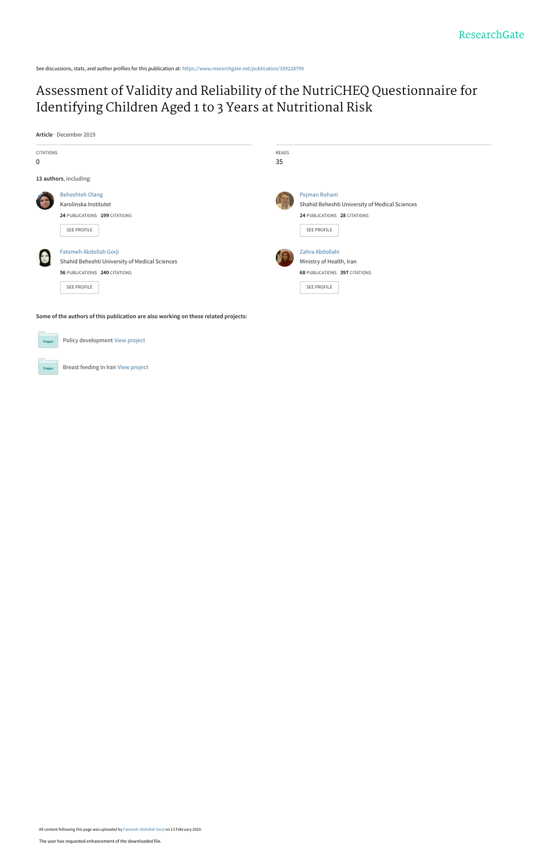See discussions, stats, and author profiles for this publication at: [https://www.researchgate.net/publication/339228799](https://www.researchgate.net/publication/339228799_Assessment_of_Validity_and_Reliability_of_the_NutriCHEQ_Questionnaire_for_Identifying_Children_Aged_1_to_3_Years_at_Nutritional_Risk?enrichId=rgreq-3be2b97a764f1d5d9c170ed6d8d448d7-XXX&enrichSource=Y292ZXJQYWdlOzMzOTIyODc5OTtBUzo4NTc5OTI5NDU3NTAwMTZAMTU4MTU3Mjg2NzY1Mg%3D%3D&el=1_x_2&_esc=publicationCoverPdf)

# [Assessment of Validity and Reliability of the NutriCHEQ Questionnaire for](https://www.researchgate.net/publication/339228799_Assessment_of_Validity_and_Reliability_of_the_NutriCHEQ_Questionnaire_for_Identifying_Children_Aged_1_to_3_Years_at_Nutritional_Risk?enrichId=rgreq-3be2b97a764f1d5d9c170ed6d8d448d7-XXX&enrichSource=Y292ZXJQYWdlOzMzOTIyODc5OTtBUzo4NTc5OTI5NDU3NTAwMTZAMTU4MTU3Mjg2NzY1Mg%3D%3D&el=1_x_3&_esc=publicationCoverPdf) Identifying Children Aged 1 to 3 Years at Nutritional Risk

**Article** · December 2019



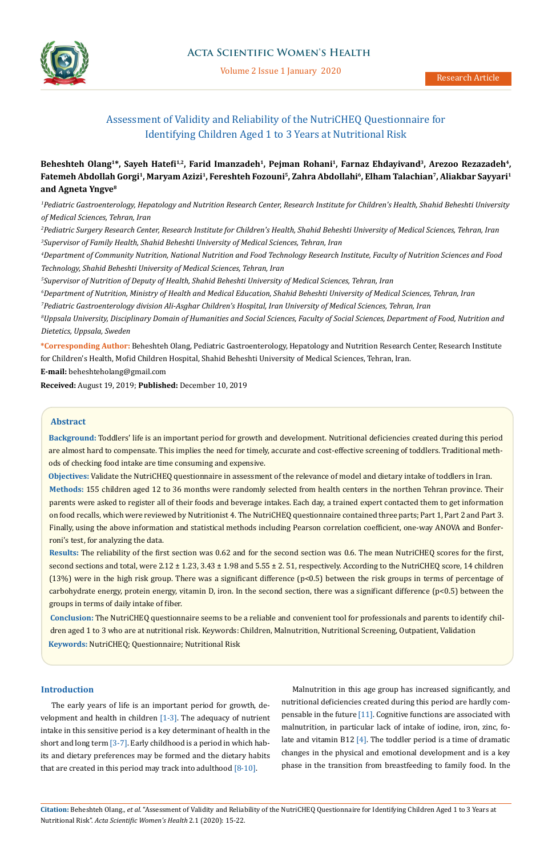

Volume 2 Issue 1 January 2020

# Assessment of Validity and Reliability of the NutriCHEQ Questionnaire for Identifying Children Aged 1 to 3 Years at Nutritional Risk

# **Beheshteh Olang1\*, Sayeh Hatefi1,2, Farid Imanzadeh<sup>1</sup>, Pejman Rohani<sup>1</sup>, Farnaz Ehdayivand<sup>3</sup>, Arezoo Rezazadeh4, Fatemeh Abdollah Gorgi<sup>1</sup>, Maryam Azizi<sup>1</sup>, Fereshteh Fozouni<sup>5</sup>, Zahra Abdollahi<sup>6</sup>, Elham Talachian<sup>7</sup>, Aliakbar Sayyari<sup>1</sup> and Agneta Yngve<sup>8</sup>**

*1 Pediatric Gastroenterology, Hepatology and Nutrition Research Center, Research Institute for Children's Health, Shahid Beheshti University of Medical Sciences, Tehran, Iran*

*2 Pediatric Surgery Research Center, Research Institute for Children's Health, Shahid Beheshti University of Medical Sciences, Tehran, Iran 3 Supervisor of Family Health, Shahid Beheshti University of Medical Sciences, Tehran, Iran*

*4 Department of Community Nutrition, National Nutrition and Food Technology Research Institute, Faculty of Nutrition Sciences and Food Technology, Shahid Beheshti University of Medical Sciences, Tehran, Iran*

*5 Supervisor of Nutrition of Deputy of Health, Shahid Beheshti University of Medical Sciences, Tehran, Iran*

*6 Department of Nutrition, Ministry of Health and Medical Education, Shahid Beheshti University of Medical Sciences, Tehran, Iran 7 Pediatric Gastroenterology division Ali-Asghar Children's Hospital, Iran University of Medical Sciences, Tehran, Iran*

*8 Uppsala University, Disciplinary Domain of Humanities and Social Sciences, Faculty of Social Sciences, Department of Food, Nutrition and Dietetics, Uppsala, Sweden*

**\*Corresponding Author:** Beheshteh Olang, Pediatric Gastroenterology, Hepatology and Nutrition Research Center, Research Institute for Children's Health, Mofid Children Hospital, Shahid Beheshti University of Medical Sciences, Tehran, Iran.

**E-mail:** [beheshteholang@gmail.com](mailto:beheshteholang%40gmail.com?subject=)

**Received:** August 19, 2019; **Published:** December 10, 2019

## **Abstract**

**Background:** Toddlers' life is an important period for growth and development. Nutritional deficiencies created during this period are almost hard to compensate. This implies the need for timely, accurate and cost-effective screening of toddlers. Traditional methods of checking food intake are time consuming and expensive.

**Objectives:** Validate the NutriCHEQ questionnaire in assessment of the relevance of model and dietary intake of toddlers in Iran. **Methods:** 155 children aged 12 to 36 months were randomly selected from health centers in the northen Tehran province. Their parents were asked to register all of their foods and beverage intakes. Each day, a trained expert contacted them to get information on food recalls, which were reviewed by Nutritionist 4. The NutriCHEQ questionnaire contained three parts; Part 1, Part 2 and Part 3. Finally, using the above information and statistical methods including Pearson correlation coefficient, one-way ANOVA and Bonferroni's test, for analyzing the data.

**Results:** The reliability of the first section was 0.62 and for the second section was 0.6. The mean NutriCHEQ scores for the first, second sections and total, were  $2.12 \pm 1.23$ ,  $3.43 \pm 1.98$  and  $5.55 \pm 2.51$ , respectively. According to the NutriCHEQ score, 14 children (13%) were in the high risk group. There was a significant difference (p<0.5) between the risk groups in terms of percentage of carbohydrate energy, protein energy, vitamin D, iron. In the second section, there was a significant difference (p<0.5) between the groups in terms of daily intake of fiber.

**Keywords:** NutriCHEQ; Questionnaire; Nutritional Risk **Conclusion:** The NutriCHEQ questionnaire seems to be a reliable and convenient tool for professionals and parents to identify children aged 1 to 3 who are at nutritional risk. Keywords: Children, Malnutrition, Nutritional Screening, Outpatient, Validation

## **Introduction**

The early years of life is an important period for growth, development and health in children  $[1-3]$ . The adequacy of nutrient intake in this sensitive period is a key determinant of health in the short and long term [3-7]. Early childhood is a period in which habits and dietary preferences may be formed and the dietary habits that are created in this period may track into adulthood  $[8-10]$ .

Malnutrition in this age group has increased significantly, and nutritional deficiencies created during this period are hardly compensable in the future [11]. Cognitive functions are associated with malnutrition, in particular lack of intake of iodine, iron, zinc, folate and vitamin B12 [4]. The toddler period is a time of dramatic changes in the physical and emotional development and is a key phase in the transition from breastfeeding to family food. In the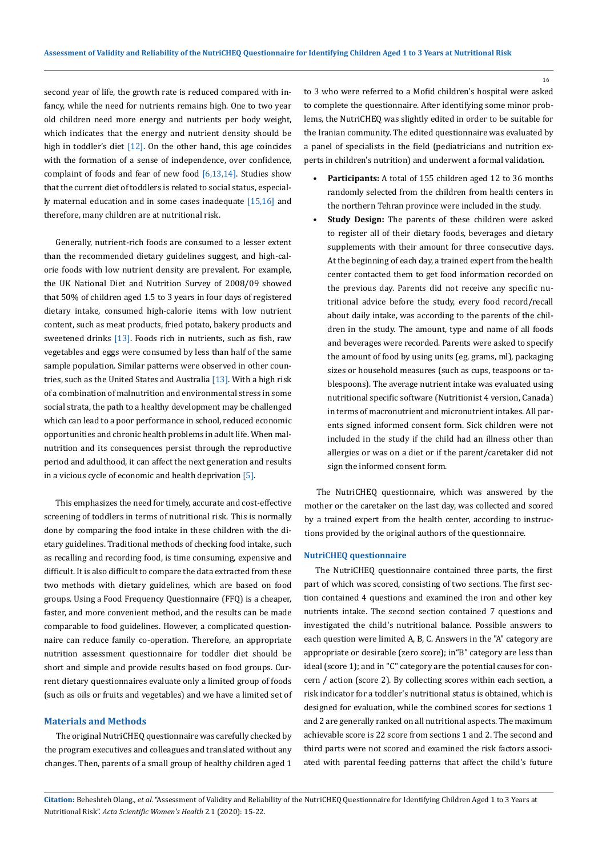second year of life, the growth rate is reduced compared with infancy, while the need for nutrients remains high. One to two year old children need more energy and nutrients per body weight, which indicates that the energy and nutrient density should be high in toddler's diet [12]. On the other hand, this age coincides with the formation of a sense of independence, over confidence, complaint of foods and fear of new food  $[6,13,14]$ . Studies show that the current diet of toddlers is related to social status, especially maternal education and in some cases inadequate [15,16] and therefore, many children are at nutritional risk.

Generally, nutrient-rich foods are consumed to a lesser extent than the recommended dietary guidelines suggest, and high-calorie foods with low nutrient density are prevalent. For example, the UK National Diet and Nutrition Survey of 2008/09 showed that 50% of children aged 1.5 to 3 years in four days of registered dietary intake, consumed high-calorie items with low nutrient content, such as meat products, fried potato, bakery products and sweetened drinks [13]. Foods rich in nutrients, such as fish, raw vegetables and eggs were consumed by less than half of the same sample population. Similar patterns were observed in other countries, such as the United States and Australia  $[13]$ . With a high risk of a combination of malnutrition and environmental stress in some social strata, the path to a healthy development may be challenged which can lead to a poor performance in school, reduced economic opportunities and chronic health problems in adult life. When malnutrition and its consequences persist through the reproductive period and adulthood, it can affect the next generation and results in a vicious cycle of economic and health deprivation [5].

This emphasizes the need for timely, accurate and cost-effective screening of toddlers in terms of nutritional risk. This is normally done by comparing the food intake in these children with the dietary guidelines. Traditional methods of checking food intake, such as recalling and recording food, is time consuming, expensive and difficult. It is also difficult to compare the data extracted from these two methods with dietary guidelines, which are based on food groups. Using a Food Frequency Questionnaire (FFQ) is a cheaper, faster, and more convenient method, and the results can be made comparable to food guidelines. However, a complicated questionnaire can reduce family co-operation. Therefore, an appropriate nutrition assessment questionnaire for toddler diet should be short and simple and provide results based on food groups. Current dietary questionnaires evaluate only a limited group of foods (such as oils or fruits and vegetables) and we have a limited set of

#### **Materials and Methods**

The original NutriCHEQ questionnaire was carefully checked by the program executives and colleagues and translated without any changes. Then, parents of a small group of healthy children aged 1

to 3 who were referred to a Mofid children's hospital were asked to complete the questionnaire. After identifying some minor problems, the NutriCHEQ was slightly edited in order to be suitable for the Iranian community. The edited questionnaire was evaluated by a panel of specialists in the field (pediatricians and nutrition experts in children's nutrition) and underwent a formal validation.

- **• Participants:** A total of 155 children aged 12 to 36 months randomly selected from the children from health centers in the northern Tehran province were included in the study.
- **• Study Design:** The parents of these children were asked to register all of their dietary foods, beverages and dietary supplements with their amount for three consecutive days. At the beginning of each day, a trained expert from the health center contacted them to get food information recorded on the previous day. Parents did not receive any specific nutritional advice before the study, every food record/recall about daily intake, was according to the parents of the children in the study. The amount, type and name of all foods and beverages were recorded. Parents were asked to specify the amount of food by using units (eg, grams, ml), packaging sizes or household measures (such as cups, teaspoons or tablespoons). The average nutrient intake was evaluated using nutritional specific software (Nutritionist 4 version, Canada) in terms of macronutrient and micronutrient intakes. All parents signed informed consent form. Sick children were not included in the study if the child had an illness other than allergies or was on a diet or if the parent/caretaker did not sign the informed consent form.

The NutriCHEQ questionnaire, which was answered by the mother or the caretaker on the last day, was collected and scored by a trained expert from the health center, according to instructions provided by the original authors of the questionnaire.

#### **NutriCHEQ questionnaire**

The NutriCHEQ questionnaire contained three parts, the first part of which was scored, consisting of two sections. The first section contained 4 questions and examined the iron and other key nutrients intake. The second section contained 7 questions and investigated the child's nutritional balance. Possible answers to each question were limited A, B, C. Answers in the "A" category are appropriate or desirable (zero score); in"B" category are less than ideal (score 1); and in "C" category are the potential causes for concern / action (score 2). By collecting scores within each section, a risk indicator for a toddler's nutritional status is obtained, which is designed for evaluation, while the combined scores for sections 1 and 2 are generally ranked on all nutritional aspects. The maximum achievable score is 22 score from sections 1 and 2. The second and third parts were not scored and examined the risk factors associated with parental feeding patterns that affect the child's future

**Citation:** Beheshteh Olang*., et al.* "Assessment of Validity and Reliability of the NutriCHEQ Questionnaire for Identifying Children Aged 1 to 3 Years at Nutritional Risk". *Acta Scientific Women's Health* 2.1 (2020): 15-22.

16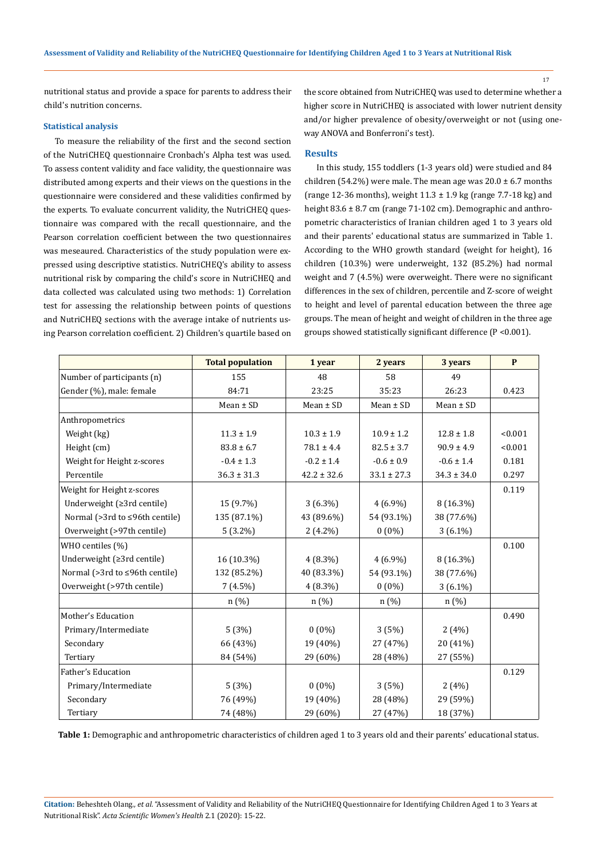nutritional status and provide a space for parents to address their child's nutrition concerns.

#### **Statistical analysis**

To measure the reliability of the first and the second section of the NutriCHEQ questionnaire Cronbach's Alpha test was used. To assess content validity and face validity, the questionnaire was distributed among experts and their views on the questions in the questionnaire were considered and these validities confirmed by the experts. To evaluate concurrent validity, the NutriCHEQ questionnaire was compared with the recall questionnaire, and the Pearson correlation coefficient between the two questionnaires was meseaured. Characteristics of the study population were expressed using descriptive statistics. NutriCHEQ's ability to assess nutritional risk by comparing the child's score in NutriCHEQ and data collected was calculated using two methods: 1) Correlation test for assessing the relationship between points of questions and NutriCHEQ sections with the average intake of nutrients using Pearson correlation coefficient. 2) Children's quartile based on

the score obtained from NutriCHEQ was used to determine whether a higher score in NutriCHEQ is associated with lower nutrient density and/or higher prevalence of obesity/overweight or not (using oneway ANOVA and Bonferroni's test).

#### **Results**

In this study, 155 toddlers (1-3 years old) were studied and 84 children (54.2%) were male. The mean age was  $20.0 \pm 6.7$  months (range 12-36 months), weight  $11.3 \pm 1.9$  kg (range 7.7-18 kg) and height 83.6 ± 8.7 cm (range 71-102 cm). Demographic and anthropometric characteristics of Iranian children aged 1 to 3 years old and their parents' educational status are summarized in Table 1. According to the WHO growth standard (weight for height), 16 children (10.3%) were underweight, 132 (85.2%) had normal weight and 7 (4.5%) were overweight. There were no significant differences in the sex of children, percentile and Z-score of weight to height and level of parental education between the three age groups. The mean of height and weight of children in the three age groups showed statistically significant difference (P <0.001).

|                                | <b>Total population</b> | 1 year          | 2 years         | 3 years         | P       |
|--------------------------------|-------------------------|-----------------|-----------------|-----------------|---------|
| Number of participants (n)     | 155                     | 48              | 58              | 49              |         |
| Gender (%), male: female       | 84:71                   | 23:25           | 35:23           | 26:23           | 0.423   |
|                                | $Mean \pm SD$           | $Mean \pm SD$   | $Mean \pm SD$   | $Mean \pm SD$   |         |
| Anthropometrics                |                         |                 |                 |                 |         |
| Weight (kg)                    | $11.3 \pm 1.9$          | $10.3 \pm 1.9$  | $10.9 \pm 1.2$  | $12.8 \pm 1.8$  | < 0.001 |
| Height (cm)                    | $83.8 \pm 6.7$          | $78.1 \pm 4.4$  | $82.5 \pm 3.7$  | $90.9 \pm 4.9$  | < 0.001 |
| Weight for Height z-scores     | $-0.4 \pm 1.3$          | $-0.2 \pm 1.4$  | $-0.6 \pm 0.9$  | $-0.6 \pm 1.4$  | 0.181   |
| Percentile                     | $36.3 \pm 31.3$         | $42.2 \pm 32.6$ | $33.1 \pm 27.3$ | $34.3 \pm 34.0$ | 0.297   |
| Weight for Height z-scores     |                         |                 |                 |                 | 0.119   |
| Underweight (≥3rd centile)     | 15 (9.7%)               | $3(6.3\%)$      | $4(6.9\%)$      | 8 (16.3%)       |         |
| Normal (>3rd to ≤96th centile) | 135 (87.1%)             | 43 (89.6%)      | 54 (93.1%)      | 38 (77.6%)      |         |
| Overweight (>97th centile)     | $5(3.2\%)$              | $2(4.2\%)$      | $0(0\%)$        | $3(6.1\%)$      |         |
| WHO centiles (%)               |                         |                 |                 |                 | 0.100   |
| Underweight (≥3rd centile)     | 16 (10.3%)              | $4(8.3\%)$      | $4(6.9\%)$      | 8 (16.3%)       |         |
| Normal (>3rd to ≤96th centile) | 132 (85.2%)             | 40 (83.3%)      | 54 (93.1%)      | 38 (77.6%)      |         |
| Overweight (>97th centile)     | $7(4.5\%)$              | $4(8.3\%)$      | $0(0\%)$        | $3(6.1\%)$      |         |
|                                | n(%)                    | n(%)            | n(%)            | n(%)            |         |
| Mother's Education             |                         |                 |                 |                 | 0.490   |
| Primary/Intermediate           | 5(3%)                   | $0(0\%)$        | 3(5%)           | 2(4%)           |         |
| Secondary                      | 66 (43%)                | 19 (40%)        | 27 (47%)        | 20 (41%)        |         |
| Tertiary                       | 84 (54%)                | 29 (60%)        | 28 (48%)        | 27 (55%)        |         |
| Father's Education             |                         |                 |                 |                 | 0.129   |
| Primary/Intermediate           | 5(3%)                   | $0(0\%)$        | 3(5%)           | 2(4%)           |         |
| Secondary                      | 76 (49%)                | 19 (40%)        | 28 (48%)        | 29 (59%)        |         |
| Tertiary                       | 74 (48%)                | 29 (60%)        | 27 (47%)        | 18 (37%)        |         |

**Table 1:** Demographic and anthropometric characteristics of children aged 1 to 3 years old and their parents' educational status.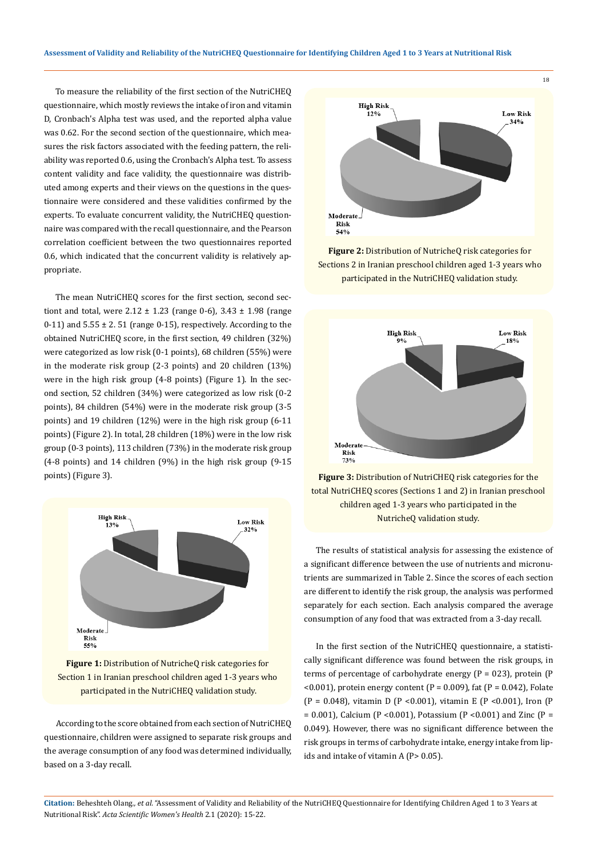To measure the reliability of the first section of the NutriCHEQ questionnaire, which mostly reviews the intake of iron and vitamin D, Cronbach's Alpha test was used, and the reported alpha value was 0.62. For the second section of the questionnaire, which measures the risk factors associated with the feeding pattern, the reliability was reported 0.6, using the Cronbach's Alpha test. To assess content validity and face validity, the questionnaire was distributed among experts and their views on the questions in the questionnaire were considered and these validities confirmed by the experts. To evaluate concurrent validity, the NutriCHEQ questionnaire was compared with the recall questionnaire, and the Pearson correlation coefficient between the two questionnaires reported 0.6, which indicated that the concurrent validity is relatively appropriate.

The mean NutriCHEQ scores for the first section, second sectiont and total, were  $2.12 \pm 1.23$  (range 0-6),  $3.43 \pm 1.98$  (range 0-11) and  $5.55 \pm 2.51$  (range 0-15), respectively. According to the obtained NutriCHEQ score, in the first section, 49 children (32%) were categorized as low risk (0-1 points), 68 children (55%) were in the moderate risk group (2-3 points) and 20 children (13%) were in the high risk group (4-8 points) (Figure 1). In the second section, 52 children (34%) were categorized as low risk (0-2 points), 84 children (54%) were in the moderate risk group (3-5 points) and 19 children (12%) were in the high risk group (6-11 points) (Figure 2). In total, 28 children (18%) were in the low risk group (0-3 points), 113 children (73%) in the moderate risk group (4-8 points) and 14 children (9%) in the high risk group (9-15 points) (Figure 3).



**Figure 1:** Distribution of NutricheQ risk categories for Section 1 in Iranian preschool children aged 1-3 years who participated in the NutriCHEQ validation study.

According to the score obtained from each section of NutriCHEQ questionnaire, children were assigned to separate risk groups and the average consumption of any food was determined individually, based on a 3-day recall.



**Figure 2:** Distribution of NutricheQ risk categories for Sections 2 in Iranian preschool children aged 1-3 years who participated in the NutriCHEQ validation study.



**Figure 3:** Distribution of NutriCHEQ risk categories for the total NutriCHEQ scores (Sections 1 and 2) in Iranian preschool children aged 1-3 years who participated in the NutricheQ validation study.

The results of statistical analysis for assessing the existence of a significant difference between the use of nutrients and micronutrients are summarized in Table 2. Since the scores of each section are different to identify the risk group, the analysis was performed separately for each section. Each analysis compared the average consumption of any food that was extracted from a 3-day recall.

In the first section of the NutriCHEQ questionnaire, a statistically significant difference was found between the risk groups, in terms of percentage of carbohydrate energy ( $P = 023$ ), protein ( $P$  $(0.001)$ , protein energy content (P = 0.009), fat (P = 0.042), Folate (P = 0.048), vitamin D (P <0.001), vitamin E (P <0.001), Iron (P  $= 0.001$ ), Calcium (P <0.001), Potassium (P <0.001) and Zinc (P = 0.049). However, there was no significant difference between the risk groups in terms of carbohydrate intake, energy intake from lipids and intake of vitamin A (P> 0.05).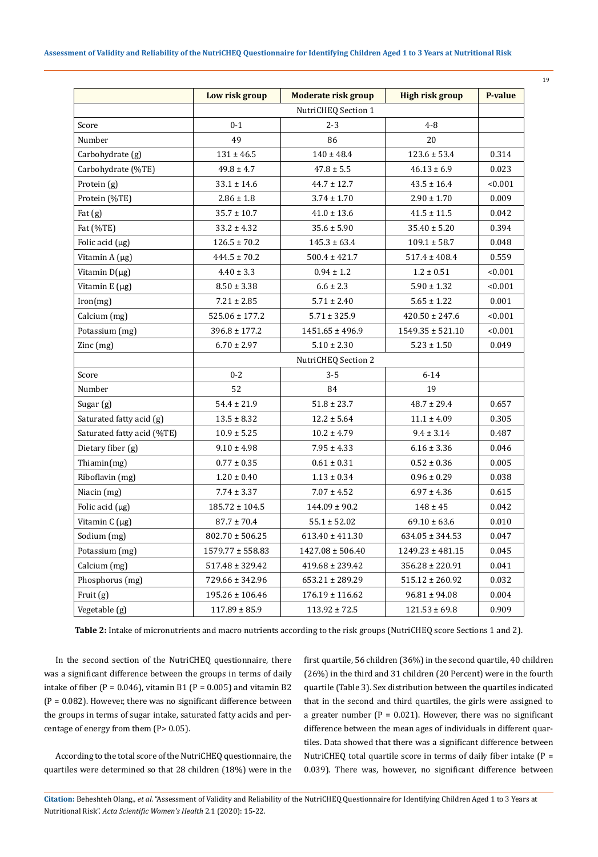| ٠ | ٧<br>č<br>۰. |  |
|---|--------------|--|
|   | v            |  |

| NutriCHEQ Section 1<br>$0 - 1$<br>$2 - 3$<br>$4 - 8$<br>Score<br>49<br>Number<br>86<br>20<br>$140 \pm 48.4$<br>Carbohydrate (g)<br>$131 \pm 46.5$<br>$123.6 \pm 53.4$<br>0.314<br>Carbohydrate (%TE)<br>$49.8 \pm 4.7$<br>$46.13 \pm 6.9$<br>0.023<br>$47.8 \pm 5.5$<br>Protein (g)<br>< 0.001<br>$33.1 \pm 14.6$<br>$44.7 \pm 12.7$<br>$43.5 \pm 16.4$<br>$2.90 \pm 1.70$<br>0.009<br>Protein (%TE)<br>$2.86 \pm 1.8$<br>$3.74 \pm 1.70$<br>$35.7 \pm 10.7$<br>$41.5 \pm 11.5$<br>Fat (g)<br>$41.0 \pm 13.6$<br>0.042<br>Fat (%TE)<br>$33.2 \pm 4.32$<br>$35.6 \pm 5.90$<br>$35.40 \pm 5.20$<br>0.394<br>Folic acid $(\mu g)$<br>$126.5 \pm 70.2$<br>$145.3 \pm 63.4$<br>$109.1 \pm 58.7$<br>0.048<br>$444.5 \pm 70.2$<br>$500.4 \pm 421.7$<br>0.559<br>Vitamin $A(\mu g)$<br>$517.4 \pm 408.4$<br>Vitamin D(µg)<br>$4.40 \pm 3.3$<br>$0.94 \pm 1.2$<br>$1.2 \pm 0.51$<br>< 0.001<br>Vitamin E (µg)<br>$8.50 \pm 3.38$<br>$6.6 \pm 2.3$<br>$5.90 \pm 1.32$<br>< 0.001<br>Iron(mg)<br>$7.21 \pm 2.85$<br>$5.71 \pm 2.40$<br>$5.65 \pm 1.22$<br>0.001<br>Calcium (mg)<br>$525.06 \pm 177.2$<br>$5.71 \pm 325.9$<br>$420.50 \pm 247.6$<br>< 0.001<br>Potassium (mg)<br>$396.8 \pm 177.2$<br>< 0.001<br>$1451.65 \pm 496.9$<br>$1549.35 \pm 521.10$<br>Zinc (mg)<br>$6.70 \pm 2.97$<br>$5.10 \pm 2.30$<br>$5.23 \pm 1.50$<br>0.049<br>NutriCHEQ Section 2<br>$0 - 2$<br>$6 - 14$<br>$3 - 5$<br>Score<br>52<br>19<br>84<br>Number<br>$48.7 \pm 29.4$<br>$54.4 \pm 21.9$<br>0.657<br>Sugar (g)<br>$51.8 \pm 23.7$<br>Saturated fatty acid (g)<br>$13.5 \pm 8.32$<br>0.305<br>$12.2 \pm 5.64$<br>$11.1 \pm 4.09$ |
|------------------------------------------------------------------------------------------------------------------------------------------------------------------------------------------------------------------------------------------------------------------------------------------------------------------------------------------------------------------------------------------------------------------------------------------------------------------------------------------------------------------------------------------------------------------------------------------------------------------------------------------------------------------------------------------------------------------------------------------------------------------------------------------------------------------------------------------------------------------------------------------------------------------------------------------------------------------------------------------------------------------------------------------------------------------------------------------------------------------------------------------------------------------------------------------------------------------------------------------------------------------------------------------------------------------------------------------------------------------------------------------------------------------------------------------------------------------------------------------------------------------------------------------------------------------------------------------------------------|
|                                                                                                                                                                                                                                                                                                                                                                                                                                                                                                                                                                                                                                                                                                                                                                                                                                                                                                                                                                                                                                                                                                                                                                                                                                                                                                                                                                                                                                                                                                                                                                                                            |
|                                                                                                                                                                                                                                                                                                                                                                                                                                                                                                                                                                                                                                                                                                                                                                                                                                                                                                                                                                                                                                                                                                                                                                                                                                                                                                                                                                                                                                                                                                                                                                                                            |
|                                                                                                                                                                                                                                                                                                                                                                                                                                                                                                                                                                                                                                                                                                                                                                                                                                                                                                                                                                                                                                                                                                                                                                                                                                                                                                                                                                                                                                                                                                                                                                                                            |
|                                                                                                                                                                                                                                                                                                                                                                                                                                                                                                                                                                                                                                                                                                                                                                                                                                                                                                                                                                                                                                                                                                                                                                                                                                                                                                                                                                                                                                                                                                                                                                                                            |
|                                                                                                                                                                                                                                                                                                                                                                                                                                                                                                                                                                                                                                                                                                                                                                                                                                                                                                                                                                                                                                                                                                                                                                                                                                                                                                                                                                                                                                                                                                                                                                                                            |
|                                                                                                                                                                                                                                                                                                                                                                                                                                                                                                                                                                                                                                                                                                                                                                                                                                                                                                                                                                                                                                                                                                                                                                                                                                                                                                                                                                                                                                                                                                                                                                                                            |
|                                                                                                                                                                                                                                                                                                                                                                                                                                                                                                                                                                                                                                                                                                                                                                                                                                                                                                                                                                                                                                                                                                                                                                                                                                                                                                                                                                                                                                                                                                                                                                                                            |
|                                                                                                                                                                                                                                                                                                                                                                                                                                                                                                                                                                                                                                                                                                                                                                                                                                                                                                                                                                                                                                                                                                                                                                                                                                                                                                                                                                                                                                                                                                                                                                                                            |
|                                                                                                                                                                                                                                                                                                                                                                                                                                                                                                                                                                                                                                                                                                                                                                                                                                                                                                                                                                                                                                                                                                                                                                                                                                                                                                                                                                                                                                                                                                                                                                                                            |
|                                                                                                                                                                                                                                                                                                                                                                                                                                                                                                                                                                                                                                                                                                                                                                                                                                                                                                                                                                                                                                                                                                                                                                                                                                                                                                                                                                                                                                                                                                                                                                                                            |
|                                                                                                                                                                                                                                                                                                                                                                                                                                                                                                                                                                                                                                                                                                                                                                                                                                                                                                                                                                                                                                                                                                                                                                                                                                                                                                                                                                                                                                                                                                                                                                                                            |
|                                                                                                                                                                                                                                                                                                                                                                                                                                                                                                                                                                                                                                                                                                                                                                                                                                                                                                                                                                                                                                                                                                                                                                                                                                                                                                                                                                                                                                                                                                                                                                                                            |
|                                                                                                                                                                                                                                                                                                                                                                                                                                                                                                                                                                                                                                                                                                                                                                                                                                                                                                                                                                                                                                                                                                                                                                                                                                                                                                                                                                                                                                                                                                                                                                                                            |
|                                                                                                                                                                                                                                                                                                                                                                                                                                                                                                                                                                                                                                                                                                                                                                                                                                                                                                                                                                                                                                                                                                                                                                                                                                                                                                                                                                                                                                                                                                                                                                                                            |
|                                                                                                                                                                                                                                                                                                                                                                                                                                                                                                                                                                                                                                                                                                                                                                                                                                                                                                                                                                                                                                                                                                                                                                                                                                                                                                                                                                                                                                                                                                                                                                                                            |
|                                                                                                                                                                                                                                                                                                                                                                                                                                                                                                                                                                                                                                                                                                                                                                                                                                                                                                                                                                                                                                                                                                                                                                                                                                                                                                                                                                                                                                                                                                                                                                                                            |
|                                                                                                                                                                                                                                                                                                                                                                                                                                                                                                                                                                                                                                                                                                                                                                                                                                                                                                                                                                                                                                                                                                                                                                                                                                                                                                                                                                                                                                                                                                                                                                                                            |
|                                                                                                                                                                                                                                                                                                                                                                                                                                                                                                                                                                                                                                                                                                                                                                                                                                                                                                                                                                                                                                                                                                                                                                                                                                                                                                                                                                                                                                                                                                                                                                                                            |
|                                                                                                                                                                                                                                                                                                                                                                                                                                                                                                                                                                                                                                                                                                                                                                                                                                                                                                                                                                                                                                                                                                                                                                                                                                                                                                                                                                                                                                                                                                                                                                                                            |
|                                                                                                                                                                                                                                                                                                                                                                                                                                                                                                                                                                                                                                                                                                                                                                                                                                                                                                                                                                                                                                                                                                                                                                                                                                                                                                                                                                                                                                                                                                                                                                                                            |
|                                                                                                                                                                                                                                                                                                                                                                                                                                                                                                                                                                                                                                                                                                                                                                                                                                                                                                                                                                                                                                                                                                                                                                                                                                                                                                                                                                                                                                                                                                                                                                                                            |
|                                                                                                                                                                                                                                                                                                                                                                                                                                                                                                                                                                                                                                                                                                                                                                                                                                                                                                                                                                                                                                                                                                                                                                                                                                                                                                                                                                                                                                                                                                                                                                                                            |
| Saturated fatty acid (%TE)<br>$10.9 \pm 5.25$<br>$10.2 \pm 4.79$<br>$9.4 \pm 3.14$<br>0.487                                                                                                                                                                                                                                                                                                                                                                                                                                                                                                                                                                                                                                                                                                                                                                                                                                                                                                                                                                                                                                                                                                                                                                                                                                                                                                                                                                                                                                                                                                                |
| Dietary fiber (g)<br>0.046<br>$9.10 \pm 4.98$<br>$7.95 \pm 4.33$<br>$6.16 \pm 3.36$                                                                                                                                                                                                                                                                                                                                                                                                                                                                                                                                                                                                                                                                                                                                                                                                                                                                                                                                                                                                                                                                                                                                                                                                                                                                                                                                                                                                                                                                                                                        |
| Thiamin(mg)<br>$0.77 \pm 0.35$<br>$0.61 \pm 0.31$<br>$0.52 \pm 0.36$<br>0.005                                                                                                                                                                                                                                                                                                                                                                                                                                                                                                                                                                                                                                                                                                                                                                                                                                                                                                                                                                                                                                                                                                                                                                                                                                                                                                                                                                                                                                                                                                                              |
| $1.20 \pm 0.40$<br>0.038<br>Riboflavin (mg)<br>$1.13 \pm 0.34$<br>$0.96 \pm 0.29$                                                                                                                                                                                                                                                                                                                                                                                                                                                                                                                                                                                                                                                                                                                                                                                                                                                                                                                                                                                                                                                                                                                                                                                                                                                                                                                                                                                                                                                                                                                          |
| $7.07 \pm 4.52$<br>Niacin (mg)<br>$7.74 \pm 3.37$<br>$6.97 \pm 4.36$<br>0.615                                                                                                                                                                                                                                                                                                                                                                                                                                                                                                                                                                                                                                                                                                                                                                                                                                                                                                                                                                                                                                                                                                                                                                                                                                                                                                                                                                                                                                                                                                                              |
| Folic acid (µg)<br>$185.72 \pm 104.5$<br>$144.09 \pm 90.2$<br>$148 \pm 45$<br>0.042                                                                                                                                                                                                                                                                                                                                                                                                                                                                                                                                                                                                                                                                                                                                                                                                                                                                                                                                                                                                                                                                                                                                                                                                                                                                                                                                                                                                                                                                                                                        |
| $55.1 \pm 52.02$<br>Vitamin $C(\mu g)$<br>$87.7 \pm 70.4$<br>$69.10 \pm 63.6$<br>0.010                                                                                                                                                                                                                                                                                                                                                                                                                                                                                                                                                                                                                                                                                                                                                                                                                                                                                                                                                                                                                                                                                                                                                                                                                                                                                                                                                                                                                                                                                                                     |
| Sodium (mg)<br>$802.70 \pm 506.25$<br>$613.40 \pm 411.30$<br>$634.05 \pm 344.53$<br>0.047                                                                                                                                                                                                                                                                                                                                                                                                                                                                                                                                                                                                                                                                                                                                                                                                                                                                                                                                                                                                                                                                                                                                                                                                                                                                                                                                                                                                                                                                                                                  |
| Potassium (mg)<br>$1579.77 \pm 558.83$<br>$1427.08 \pm 506.40$<br>$1249.23 \pm 481.15$<br>0.045                                                                                                                                                                                                                                                                                                                                                                                                                                                                                                                                                                                                                                                                                                                                                                                                                                                                                                                                                                                                                                                                                                                                                                                                                                                                                                                                                                                                                                                                                                            |
| Calcium (mg)<br>$517.48 \pm 329.42$<br>$419.68 \pm 239.42$<br>$356.28 \pm 220.91$<br>0.041                                                                                                                                                                                                                                                                                                                                                                                                                                                                                                                                                                                                                                                                                                                                                                                                                                                                                                                                                                                                                                                                                                                                                                                                                                                                                                                                                                                                                                                                                                                 |
| Phosphorus (mg)<br>729.66 ± 342.96<br>$653.21 \pm 289.29$<br>$515.12 \pm 260.92$<br>0.032                                                                                                                                                                                                                                                                                                                                                                                                                                                                                                                                                                                                                                                                                                                                                                                                                                                                                                                                                                                                                                                                                                                                                                                                                                                                                                                                                                                                                                                                                                                  |
| Fruit (g)<br>$195.26 \pm 106.46$<br>$176.19 \pm 116.62$<br>$96.81 \pm 94.08$<br>0.004                                                                                                                                                                                                                                                                                                                                                                                                                                                                                                                                                                                                                                                                                                                                                                                                                                                                                                                                                                                                                                                                                                                                                                                                                                                                                                                                                                                                                                                                                                                      |
| Vegetable (g)<br>$117.89 \pm 85.9$<br>$113.92 \pm 72.5$<br>$121.53 \pm 69.8$<br>0.909                                                                                                                                                                                                                                                                                                                                                                                                                                                                                                                                                                                                                                                                                                                                                                                                                                                                                                                                                                                                                                                                                                                                                                                                                                                                                                                                                                                                                                                                                                                      |

**Table 2:** Intake of micronutrients and macro nutrients according to the risk groups (NutriCHEQ score Sections 1 and 2).

In the second section of the NutriCHEQ questionnaire, there was a significant difference between the groups in terms of daily intake of fiber (P = 0.046), vitamin B1 (P = 0.005) and vitamin B2  $(P = 0.082)$ . However, there was no significant difference between the groups in terms of sugar intake, saturated fatty acids and percentage of energy from them (P> 0.05).

According to the total score of the NutriCHEQ questionnaire, the quartiles were determined so that 28 children (18%) were in the first quartile, 56 children (36%) in the second quartile, 40 children (26%) in the third and 31 children (20 Percent) were in the fourth quartile (Table 3). Sex distribution between the quartiles indicated that in the second and third quartiles, the girls were assigned to a greater number ( $P = 0.021$ ). However, there was no significant difference between the mean ages of individuals in different quartiles. Data showed that there was a significant difference between NutriCHEQ total quartile score in terms of daily fiber intake  $(P =$ 0.039). There was, however, no significant difference between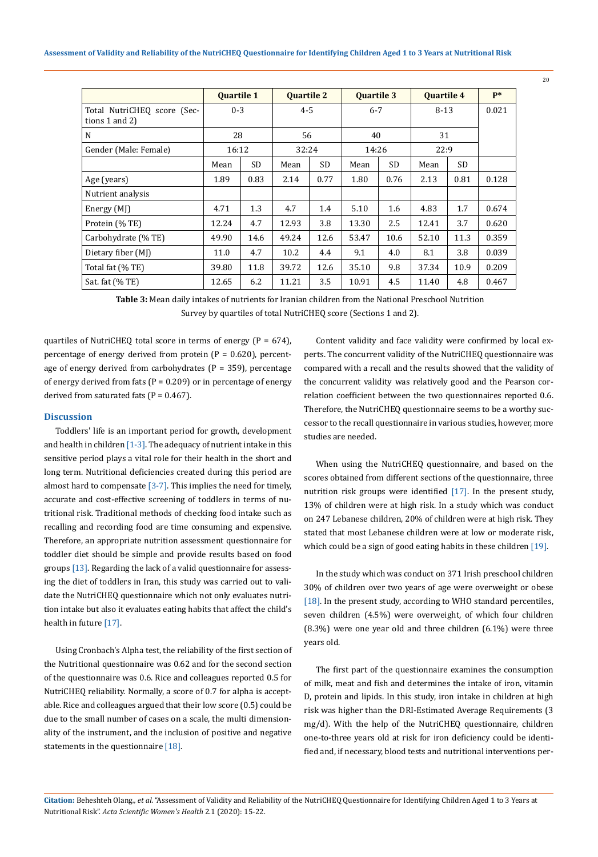|                                                    | <b>Quartile 1</b> |      | <b>Quartile 2</b> |      | <b>Quartile 3</b> |      | <b>Quartile 4</b> |           | $P*$  |
|----------------------------------------------------|-------------------|------|-------------------|------|-------------------|------|-------------------|-----------|-------|
| Total NutriCHEO score (Sec-<br>tions $1$ and $2$ ) | $0 - 3$           |      | $4 - 5$           |      | $6 - 7$           |      | $8 - 13$          |           | 0.021 |
| N                                                  | 28                |      | 56                |      | 40                |      | 31                |           |       |
| Gender (Male: Female)                              | 16:12             |      | 32:24             |      | 14:26             |      | 22:9              |           |       |
|                                                    | Mean              | SD.  | Mean              | SD.  | Mean              | SD.  | Mean              | <b>SD</b> |       |
| Age (years)                                        | 1.89              | 0.83 | 2.14              | 0.77 | 1.80              | 0.76 | 2.13              | 0.81      | 0.128 |
| Nutrient analysis                                  |                   |      |                   |      |                   |      |                   |           |       |
| Energy (MJ)                                        | 4.71              | 1.3  | 4.7               | 1.4  | 5.10              | 1.6  | 4.83              | 1.7       | 0.674 |
| Protein (% TE)                                     | 12.24             | 4.7  | 12.93             | 3.8  | 13.30             | 2.5  | 12.41             | 3.7       | 0.620 |
| Carbohydrate (% TE)                                | 49.90             | 14.6 | 49.24             | 12.6 | 53.47             | 10.6 | 52.10             | 11.3      | 0.359 |
| Dietary fiber (MJ)                                 | 11.0              | 4.7  | 10.2              | 4.4  | 9.1               | 4.0  | 8.1               | 3.8       | 0.039 |
| Total fat (% TE)                                   | 39.80             | 11.8 | 39.72             | 12.6 | 35.10             | 9.8  | 37.34             | 10.9      | 0.209 |
| Sat. fat $(\%$ TE)                                 | 12.65             | 6.2  | 11.21             | 3.5  | 10.91             | 4.5  | 11.40             | 4.8       | 0.467 |

**Table 3:** Mean daily intakes of nutrients for Iranian children from the National Preschool Nutrition Survey by quartiles of total NutriCHEQ score (Sections 1 and 2).

quartiles of NutriCHEQ total score in terms of energy ( $P = 674$ ), percentage of energy derived from protein ( $P = 0.620$ ), percentage of energy derived from carbohydrates ( $P = 359$ ), percentage of energy derived from fats ( $P = 0.209$ ) or in percentage of energy derived from saturated fats ( $P = 0.467$ ).

#### **Discussion**

Toddlers' life is an important period for growth, development and health in children  $[1-3]$ . The adequacy of nutrient intake in this sensitive period plays a vital role for their health in the short and long term. Nutritional deficiencies created during this period are almost hard to compensate [3-7]. This implies the need for timely, accurate and cost-effective screening of toddlers in terms of nutritional risk. Traditional methods of checking food intake such as recalling and recording food are time consuming and expensive. Therefore, an appropriate nutrition assessment questionnaire for toddler diet should be simple and provide results based on food groups [13]. Regarding the lack of a valid questionnaire for assessing the diet of toddlers in Iran, this study was carried out to validate the NutriCHEQ questionnaire which not only evaluates nutrition intake but also it evaluates eating habits that affect the child's health in future [17].

Using Cronbach's Alpha test, the reliability of the first section of the Nutritional questionnaire was 0.62 and for the second section of the questionnaire was 0.6. Rice and colleagues reported 0.5 for NutriCHEQ reliability. Normally, a score of 0.7 for alpha is acceptable. Rice and colleagues argued that their low score (0.5) could be due to the small number of cases on a scale, the multi dimensionality of the instrument, and the inclusion of positive and negative statements in the questionnaire [18].

Content validity and face validity were confirmed by local experts. The concurrent validity of the NutriCHEQ questionnaire was compared with a recall and the results showed that the validity of the concurrent validity was relatively good and the Pearson correlation coefficient between the two questionnaires reported 0.6. Therefore, the NutriCHEQ questionnaire seems to be a worthy successor to the recall questionnaire in various studies, however, more studies are needed.

When using the NutriCHEQ questionnaire, and based on the scores obtained from different sections of the questionnaire, three nutrition risk groups were identified [17]. In the present study, 13% of children were at high risk. In a study which was conduct on 247 Lebanese children, 20% of children were at high risk. They stated that most Lebanese children were at low or moderate risk, which could be a sign of good eating habits in these children [19].

In the study which was conduct on 371 Irish preschool children 30% of children over two years of age were overweight or obese [18]. In the present study, according to WHO standard percentiles, seven children (4.5%) were overweight, of which four children (8.3%) were one year old and three children (6.1%) were three years old.

The first part of the questionnaire examines the consumption of milk, meat and fish and determines the intake of iron, vitamin D, protein and lipids. In this study, iron intake in children at high risk was higher than the DRI-Estimated Average Requirements (3 mg/d). With the help of the NutriCHEQ questionnaire, children one-to-three years old at risk for iron deficiency could be identified and, if necessary, blood tests and nutritional interventions per-

**Citation:** Beheshteh Olang*., et al.* "Assessment of Validity and Reliability of the NutriCHEQ Questionnaire for Identifying Children Aged 1 to 3 Years at Nutritional Risk". *Acta Scientific Women's Health* 2.1 (2020): 15-22.

20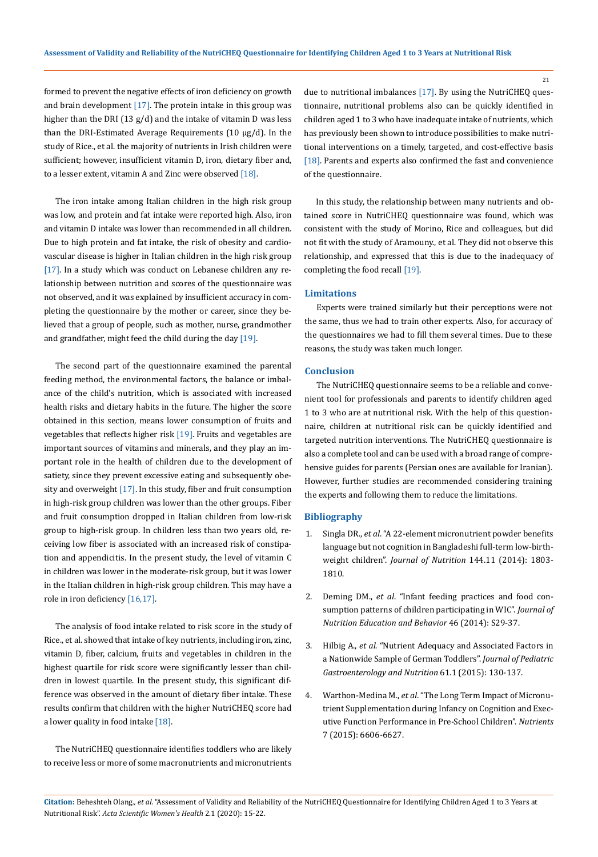formed to prevent the negative effects of iron deficiency on growth and brain development  $[17]$ . The protein intake in this group was higher than the DRI (13 g/d) and the intake of vitamin D was less than the DRI-Estimated Average Requirements (10 μg/d). In the study of Rice., et al. the majority of nutrients in Irish children were sufficient; however, insufficient vitamin D, iron, dietary fiber and, to a lesser extent, vitamin A and Zinc were observed  $[18]$ .

The iron intake among Italian children in the high risk group was low, and protein and fat intake were reported high. Also, iron and vitamin D intake was lower than recommended in all children. Due to high protein and fat intake, the risk of obesity and cardiovascular disease is higher in Italian children in the high risk group [17]. In a study which was conduct on Lebanese children any relationship between nutrition and scores of the questionnaire was not observed, and it was explained by insufficient accuracy in completing the questionnaire by the mother or career, since they believed that a group of people, such as mother, nurse, grandmother and grandfather, might feed the child during the day [19].

The second part of the questionnaire examined the parental feeding method, the environmental factors, the balance or imbalance of the child's nutrition, which is associated with increased health risks and dietary habits in the future. The higher the score obtained in this section, means lower consumption of fruits and vegetables that reflects higher risk [19]. Fruits and vegetables are important sources of vitamins and minerals, and they play an important role in the health of children due to the development of satiety, since they prevent excessive eating and subsequently obesity and overweight [17]. In this study, fiber and fruit consumption in high-risk group children was lower than the other groups. Fiber and fruit consumption dropped in Italian children from low-risk group to high-risk group. In children less than two years old, receiving low fiber is associated with an increased risk of constipation and appendicitis. In the present study, the level of vitamin C in children was lower in the moderate-risk group, but it was lower in the Italian children in high-risk group children. This may have a role in iron deficiency [16,17].

The analysis of food intake related to risk score in the study of Rice., et al. showed that intake of key nutrients, including iron, zinc, vitamin D, fiber, calcium, fruits and vegetables in children in the highest quartile for risk score were significantly lesser than children in lowest quartile. In the present study, this significant difference was observed in the amount of dietary fiber intake. These results confirm that children with the higher NutriCHEQ score had a lower quality in food intake [18].

The NutriCHEQ questionnaire identifies toddlers who are likely to receive less or more of some macronutrients and micronutrients

due to nutritional imbalances [17]. By using the NutriCHEQ questionnaire, nutritional problems also can be quickly identified in children aged 1 to 3 who have inadequate intake of nutrients, which has previously been shown to introduce possibilities to make nutritional interventions on a timely, targeted, and cost-effective basis [18]. Parents and experts also confirmed the fast and convenience of the questionnaire.

In this study, the relationship between many nutrients and obtained score in NutriCHEQ questionnaire was found, which was consistent with the study of Morino, Rice and colleagues, but did not fit with the study of Aramouny., et al. They did not observe this relationship, and expressed that this is due to the inadequacy of completing the food recall [19].

#### **Limitations**

Experts were trained similarly but their perceptions were not the same, thus we had to train other experts. Also, for accuracy of the questionnaires we had to fill them several times. Due to these reasons, the study was taken much longer.

#### **Conclusion**

The NutriCHEQ questionnaire seems to be a reliable and convenient tool for professionals and parents to identify children aged 1 to 3 who are at nutritional risk. With the help of this questionnaire, children at nutritional risk can be quickly identified and targeted nutrition interventions. The NutriCHEQ questionnaire is also a complete tool and can be used with a broad range of comprehensive guides for parents (Persian ones are available for Iranian). However, further studies are recommended considering training the experts and following them to reduce the limitations.

#### **Bibliography**

- 1. Singla DR., *et al*[. "A 22-element micronutrient powder benefits](https://www.ncbi.nlm.nih.gov/pubmed/25143374) [language but not cognition in Bangladeshi full-term low-birth](https://www.ncbi.nlm.nih.gov/pubmed/25143374)weight children". *[Journal of Nutrition](https://www.ncbi.nlm.nih.gov/pubmed/25143374)* 144.11 (2014): 1803- [1810.](https://www.ncbi.nlm.nih.gov/pubmed/25143374)
- 2. Deming DM., *et al*[. "Infant feeding practices and food con](https://www.ncbi.nlm.nih.gov/pubmed/24809994)[sumption patterns of children participating in WIC".](https://www.ncbi.nlm.nih.gov/pubmed/24809994) *Journal of [Nutrition Education and Behavior](https://www.ncbi.nlm.nih.gov/pubmed/24809994)* 46 (2014): S29-37.
- 3. Hilbig A., *et al*[. "Nutrient Adequacy and Associated Factors in](https://www.ncbi.nlm.nih.gov/pubmed/25611028)  [a Nationwide Sample of German Toddlers".](https://www.ncbi.nlm.nih.gov/pubmed/25611028) *Journal of Pediatric [Gastroenterology and Nutrition](https://www.ncbi.nlm.nih.gov/pubmed/25611028)* 61.1 (2015): 130-137.
- 4. Warthon-Medina M., *et al*[. "The Long Term Impact of Micronu](https://www.ncbi.nlm.nih.gov/pubmed/26262642)[trient Supplementation during Infancy on Cognition and Exec](https://www.ncbi.nlm.nih.gov/pubmed/26262642)[utive Function Performance in Pre-School Children".](https://www.ncbi.nlm.nih.gov/pubmed/26262642) *Nutrients* [7 \(2015\): 6606-6627.](https://www.ncbi.nlm.nih.gov/pubmed/26262642)

**Citation:** Beheshteh Olang*., et al.* "Assessment of Validity and Reliability of the NutriCHEQ Questionnaire for Identifying Children Aged 1 to 3 Years at Nutritional Risk". *Acta Scientific Women's Health* 2.1 (2020): 15-22.

21